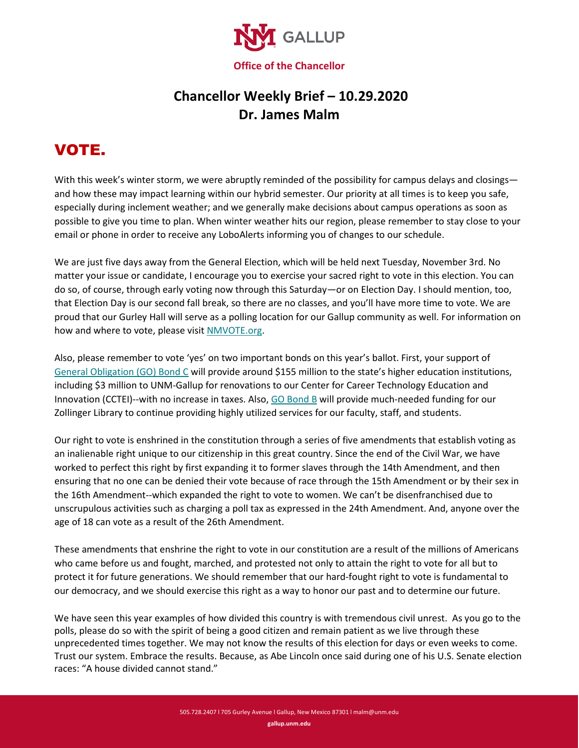

## **Chancellor Weekly Brief – 10.29.2020 Dr. James Malm**

## VOTE.

With this week's winter storm, we were abruptly reminded of the possibility for campus delays and closings and how these may impact learning within our hybrid semester. Our priority at all times is to keep you safe, especially during inclement weather; and we generally make decisions about campus operations as soon as possible to give you time to plan. When winter weather hits our region, please remember to stay close to your email or phone in order to receive any LoboAlerts informing you of changes to our schedule.

We are just five days away from the General Election, which will be held next Tuesday, November 3rd. No matter your issue or candidate, I encourage you to exercise your sacred right to vote in this election. You can do so, of course, through early voting now through this Saturday—or on Election Day. I should mention, too, that Election Day is our second fall break, so there are no classes, and you'll have more time to vote. We are proud that our Gurley Hall will serve as a polling location for our Gallup community as well. For information on how and where to vote, please visi[t NMVOTE.org.](http://www.nmvote.org/)

Also, please remember to vote 'yes' on two important bonds on this year's ballot. First, your support of [General Obligation \(GO\) Bond C](https://gallup.unm.edu/vote-yes/) will provide around \$155 million to the state's higher education institutions, including \$3 million to UNM-Gallup for renovations to our Center for Career Technology Education and Innovation (CCTEI)--with no increase in taxes. Also, [GO Bond B](https://www.gallup.unm.edu/news/october2020/unm-gallup-zollinger-library-could-benefit-from-go-bond-b.php) will provide much-needed funding for our Zollinger Library to continue providing highly utilized services for our faculty, staff, and students.

Our right to vote is enshrined in the constitution through a series of five amendments that establish voting as an inalienable right unique to our citizenship in this great country. Since the end of the Civil War, we have worked to perfect this right by first expanding it to former slaves through the 14th Amendment, and then ensuring that no one can be denied their vote because of race through the 15th Amendment or by their sex in the 16th Amendment--which expanded the right to vote to women. We can't be disenfranchised due to unscrupulous activities such as charging a poll tax as expressed in the 24th Amendment. And, anyone over the age of 18 can vote as a result of the 26th Amendment.

These amendments that enshrine the right to vote in our constitution are a result of the millions of Americans who came before us and fought, marched, and protested not only to attain the right to vote for all but to protect it for future generations. We should remember that our hard-fought right to vote is fundamental to our democracy, and we should exercise this right as a way to honor our past and to determine our future.

We have seen this year examples of how divided this country is with tremendous civil unrest. As you go to the polls, please do so with the spirit of being a good citizen and remain patient as we live through these unprecedented times together. We may not know the results of this election for days or even weeks to come. Trust our system. Embrace the results. Because, as Abe Lincoln once said during one of his U.S. Senate election races: "A house divided cannot stand."